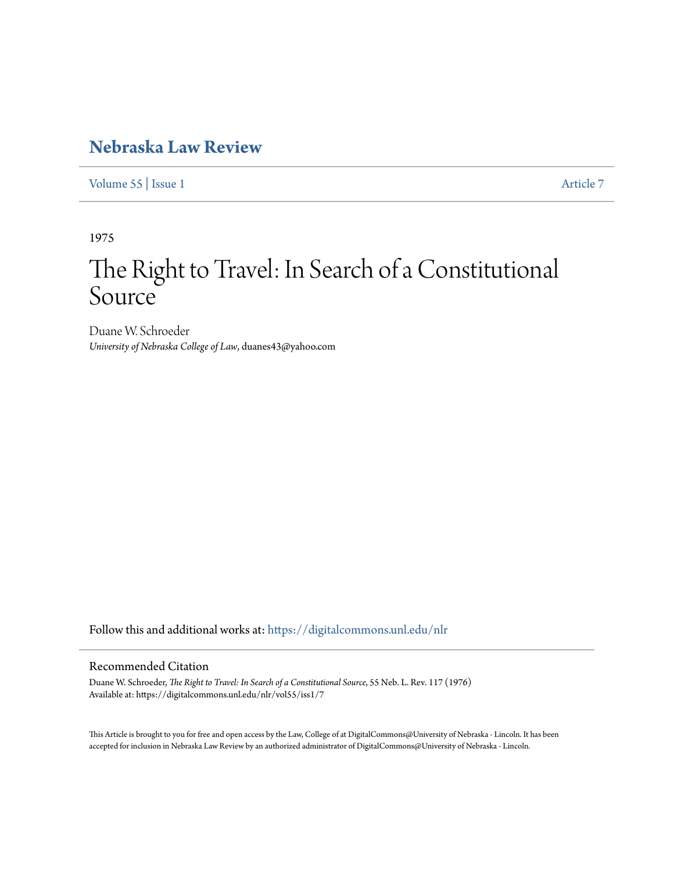# **[Nebraska Law Review](https://digitalcommons.unl.edu/nlr?utm_source=digitalcommons.unl.edu%2Fnlr%2Fvol55%2Fiss1%2F7&utm_medium=PDF&utm_campaign=PDFCoverPages)**

[Volume 55](https://digitalcommons.unl.edu/nlr/vol55?utm_source=digitalcommons.unl.edu%2Fnlr%2Fvol55%2Fiss1%2F7&utm_medium=PDF&utm_campaign=PDFCoverPages) | [Issue 1](https://digitalcommons.unl.edu/nlr/vol55/iss1?utm_source=digitalcommons.unl.edu%2Fnlr%2Fvol55%2Fiss1%2F7&utm_medium=PDF&utm_campaign=PDFCoverPages) [Article 7](https://digitalcommons.unl.edu/nlr/vol55/iss1/7?utm_source=digitalcommons.unl.edu%2Fnlr%2Fvol55%2Fiss1%2F7&utm_medium=PDF&utm_campaign=PDFCoverPages)

1975

# The Right to Travel: In Search of a Constitutional Source

Duane W. Schroeder *University of Nebraska College of Law*, duanes43@yahoo.com

Follow this and additional works at: [https://digitalcommons.unl.edu/nlr](https://digitalcommons.unl.edu/nlr?utm_source=digitalcommons.unl.edu%2Fnlr%2Fvol55%2Fiss1%2F7&utm_medium=PDF&utm_campaign=PDFCoverPages)

# Recommended Citation

Duane W. Schroeder, *The Right to Travel: In Search of a Constitutional Source*, 55 Neb. L. Rev. 117 (1976) Available at: https://digitalcommons.unl.edu/nlr/vol55/iss1/7

This Article is brought to you for free and open access by the Law, College of at DigitalCommons@University of Nebraska - Lincoln. It has been accepted for inclusion in Nebraska Law Review by an authorized administrator of DigitalCommons@University of Nebraska - Lincoln.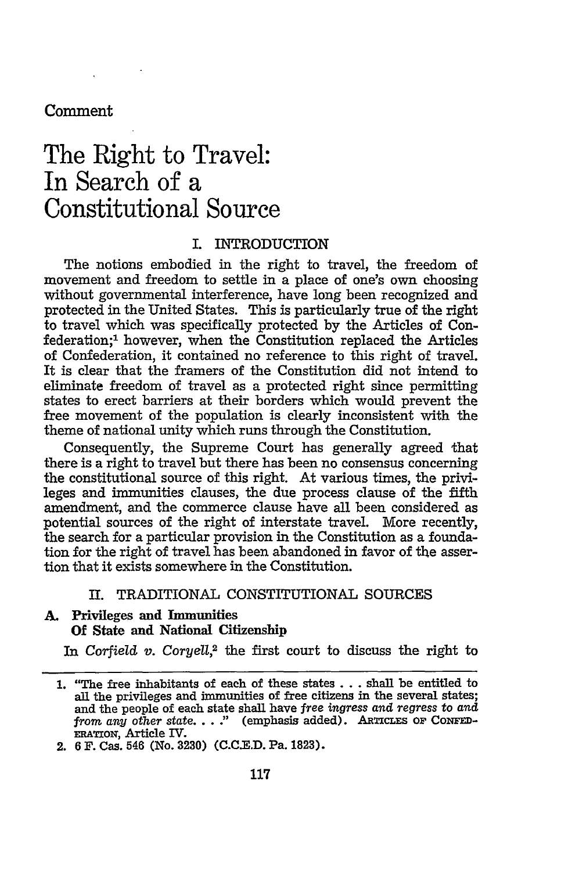# Comment

# The Right to Travel: In Search of a Constitutional Source

# L INTRODUCTION

The notions embodied in the right to travel, the freedom of movement and freedom to settle in a place of one's own choosing without governmental interference, have long been recognized and protected in the United States. This is particularly true of the right to travel which was specifically protected by the Articles of Confederation;<sup>1</sup> however, when the Constitution replaced the Articles of Confederation, it contained no reference to this right of travel. It is clear that the framers of the Constitution did not intend to eliminate freedom of travel as a protected right since permitting states to erect barriers at their borders which would prevent the free movement of the population is clearly inconsistent with the theme of national unity which runs through the Constitution.

Consequently, the Supreme Court has generally agreed that there is a right to travel but there has been no consensus concerning the constitutional source of this right. At various times, the privileges and immunities clauses, the due process clause of the fifth amendment, and the commerce clause have all been considered as potential sources of the right of interstate travel. More recently, the search for a particular provision in the Constitution as a foundation for the right of travel has been abandoned in favor of the assertion that it exists somewhere in the Constitution.

# II. TRADITIONAL CONSTITUTIONAL SOURCES

# **A.** Privileges and Immunities **Of** State and National **Citizenship**

In *Corfield v. Coryell*,<sup>2</sup> the first court to discuss the right to

<sup>1. &</sup>quot;The free inhabitants of each of these states **. ..** shall be entitled to all the privileges and immunities of free citizens in the several states; and the people of each state shall have *free ingress and regress* to *and from any other state...* .' (emphasis added). ARTICLES OF **CoNED-ERATioN,** Article IV.

<sup>2. 6</sup> F. Cas. 546 (No. **3230)** (C.C.E.D. Pa. **1823).**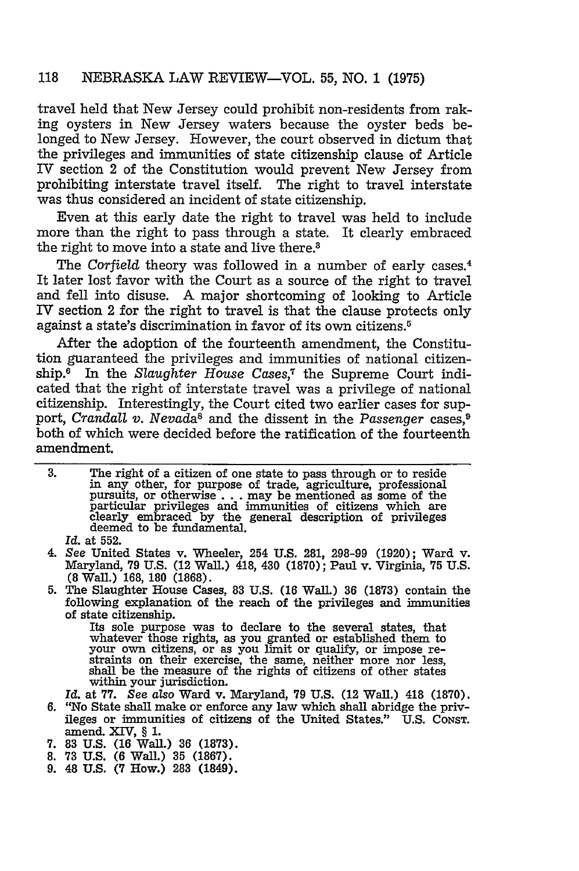travel held that New Jersey could prohibit non-residents from raking oysters in New Jersey waters because the oyster beds belonged to New Jersey. However, the court observed in dictum that the privileges and immunities of state citizenship clause of Article IV section 2 of the Constitution would prevent New Jersey from prohibiting interstate travel itself. The right to travel interstate was thus considered an incident of state citizenship.

Even at this early date the right to travel was held to include more than the right to pass through a state. It clearly embraced the right to move into a state and live there.<sup>3</sup>

The Corfield theory was followed in a number of early cases.<sup>4</sup> It later lost favor with the Court as a source of the right to travel and fell into disuse. A major shortcoming of looking to Article IV section 2 for the right to travel is that the clause protects only against a state's discrimination in favor of its own citizens. <sup>5</sup>

After the adoption of the fourteenth amendment, the Constitution guaranteed the privileges and immunities of national citizenship.<sup>6</sup> In the *Slaughter House Cases*,<sup>7</sup> the Supreme Court indicated that the right of interstate travel was a privilege of national citizenship. Interestingly, the Court cited two earlier cases for support, *Crandall v. Nevada*<sup>8</sup> and the dissent in the *Passenger* cases,<sup>9</sup> both of which were decided before the ratification of the fourteenth amendment.

- **3.** The right of a citizen of one state to pass through or to reside in any other, for purpose of trade, agriculture, professional pursuits, or otherwise... may be mentioned as some of the particular privileges and immunities of citizens which are clearly embraced by the general description of privileges deemed to be fundamental.
	- *Id.* at 552.
- 4. See United States v. Wheeler, 254 **U.S.** 281, 298-99 (1920); Ward v. Maryland, **79** U.S. (12 Wall.) 418, 430 (1870); Paul v. Virginia, **75** U.S. **(8** Wall.) **168, 180 (1868).**
- 5. The Slaughter House Cases, 83 U.S. (16 Wall.) **36** (1873) contain the following explanation of the reach of the privileges and immunities of state citizenship.

Its sole purpose was to declare to the several states, that whatever those rights, as you granted or established them to<br>your own citizens, or as you limit or qualify, or impose re-<br>straints on their exercise, the same, neither more nor less,<br>shall be the measure of the rights of c within your jurisdiction.

Id. at **77.** *See also* Ward v. Maryland, **79** U.S. (12 Wall.) 418 (1870). ileges or immunities of citizens of the United States." U.S. CONST.

- amend. **XIV,** § 1. **7.** 83 U.S. (16 Wall.) **36** (1873).
- 8. **73 U.S.** (6 Wall.) **35** (1867).
- 9. 48 **U.S.** (7 How.) **283** (1849).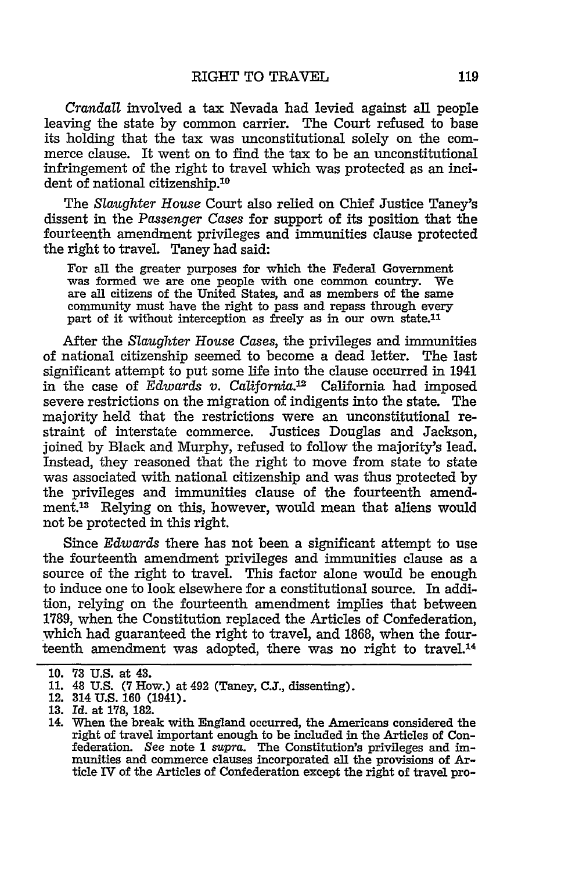*Crandall* involved a tax Nevada had levied against all people leaving the state by common carrier. The Court refused to base its holding that the tax was unconstitutional solely on the commerce clause. It went on to find the tax to be an unconstitutional infringement of the right to travel which was protected as an incident of national citizenship.<sup>10</sup>

The *Slaughter* House Court also relied on Chief Justice Taney's dissent in the *Passenger Cases* for support of its position that the fourteenth amendment privileges and immunities clause protected the right to travel. Taney had said:

For all the greater purposes for which the Federal Government was formed we are one people with one common country. We are all citizens of the United States, and as members of the same community must have the right to pass and repass through every part of it without interception as freely as in our own state.<sup>11</sup>

After the *Slaughter House Cases,* the privileges and immunities of national citizenship seemed to become a dead letter. The last significant attempt to put some life into the clause occurred in 1941 in the case of *Edwards v. California.'2* California had imposed severe restrictions on the migration of indigents into the state. The majority held that the restrictions were an unconstitutional restraint of interstate commerce. Justices Douglas and Jackson, joined by Black and Murphy, refused to follow the majority's lead. Instead, they reasoned that the right to move from state to state was associated with national citizenship and was thus protected by the privileges and immunities clause of the fourteenth amendment.<sup>13</sup> Relying on this, however, would mean that aliens would not be protected in this right.

Since *Edwards* there has not been a significant attempt to use the fourteenth amendment privileges and immunities clause as a source of the right to travel. This factor alone would be enough to induce one to look elsewhere for a constitutional source. In addition, relying on the fourteenth amendment implies that between 1789, when the Constitution replaced the Articles of Confederation, which had guaranteed the right to travel, and 1868, when the fourteenth amendment was adopted, there was no right to travel.<sup>14</sup>

**<sup>10. 73</sup>** U.S. at 43.

<sup>11. 48</sup> U.S. (7 How.) at 492 (Taney, C.J., dissenting).

<sup>12. 314</sup> **U.S. 160** (1941).

**<sup>13.</sup>** *Id.* at 178, 182.

<sup>14.</sup> When the break with England occurred, the Americans considered the right of travel important enough to be included in the Articles of Confederation. See note 1 *supra.* The Constitution's privileges and immunities and commerce clauses incorporated all the provisions of Article IV of the Articles of Confederation except the right of travel pro-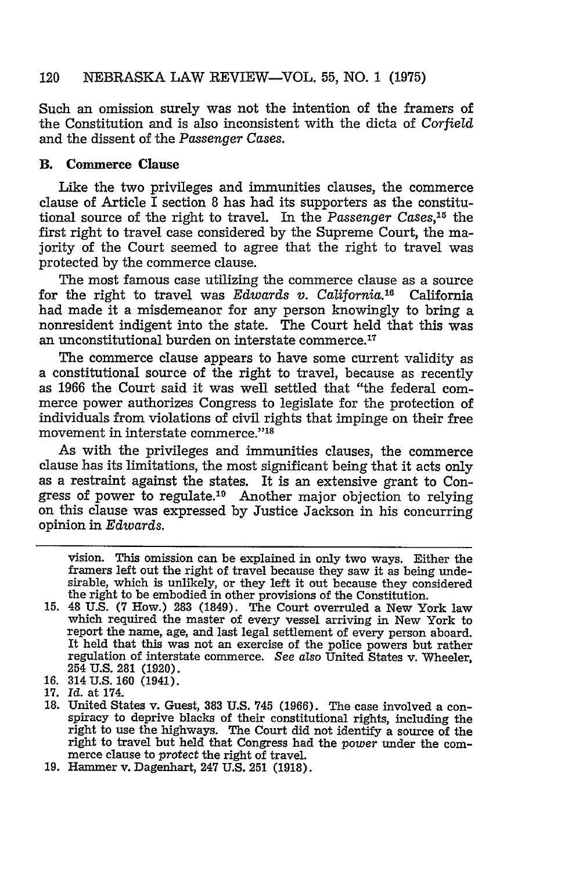Such an omission surely was not the intention of the framers of the Constitution and is also inconsistent with the dicta of *Corfield* and the dissent of the *Passenger Cases.*

# B. **Commerce Clause**

Like the two privileges and immunities clauses, the commerce clause of Article  $\overline{I}$  section 8 has had its supporters as the constitutional source of the right to travel. In the *Passenger Cases,15* the first right to travel case considered by the Supreme Court, the majority of the Court seemed to agree that the right to travel was protected by the commerce clause.

The most famous case utilizing the commerce clause as a source for the right to travel was *Edwards v. California*.<sup>16</sup> California had made it a misdemeanor for any person knowingly to bring a nonresident indigent into the state. The Court held that this was an unconstitutional burden on interstate commerce.<sup>17</sup>

The commerce clause appears to have some current validity as a constitutional source of the right to travel, because as recently as 1966 the Court said it was well settled that "the federal commerce power authorizes Congress to legislate for the protection of individuals from violations of civil rights that impinge on their free movement in interstate commerce."<sup>18</sup>

As with the privileges and immunities clauses, the commerce clause has its limitations, the most significant being that it acts only as a restraint against the states. It is an extensive grant to Congress of power to regulate.<sup>19</sup> Another major objection to relying on this clause was expressed by Justice Jackson in his concurring opinion in *Edwards.*

- **16.** 314 **U.S. 160** (1941).
- 17. *Id.* at 174.

vision. This omission can be explained in only two ways. Either the framers left out the right of travel because they saw it as being undesirable, which is unlikely, or they left it out because they considered the right to be embodied in other provisions of the Constitution.

<sup>15. 48</sup> U.S. **(7** How.) 283 (1849). The Court overruled a New York law which required the master of every vessel arriving in New York to report the name, age, and last legal settlement of every person aboard. It held that this was not an exercise of the police powers but rather regulation of interstate commerce. *See also* United States v. Wheeler, 254 U.S. 281 (1920).

**<sup>18.</sup>** United States v. Guest, **383 U.S.** 745 (1966). The case involved a conspiracy to deprive blacks of their constitutional rights, including the right to use the highways. The Court did not identify a source of the right to travel but held that Congress had the *power* under the commerce clause to *protect* the right of travel.

<sup>19.</sup> Hammer v. Dagenhart, 247 U.S. **251** (1918).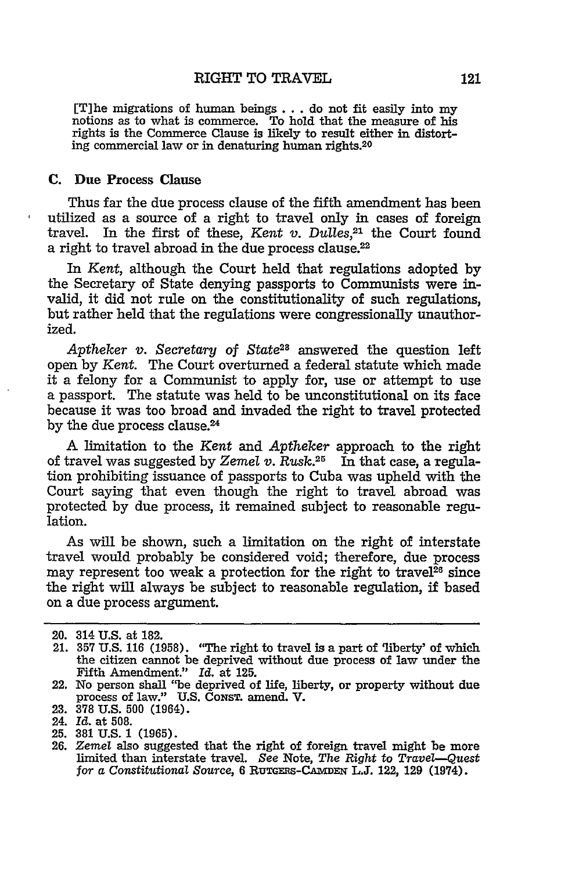#### RIGHT TO TRAVEL

[T]he migrations of human beings... do not fit easily into my notions as to what is commerce. To hold that the measure of his rights is the Commerce Clause is likely to result either in distorting commercial law or in denaturing human rights.20

#### **C.** Due Process **Clause**

Thus far the due process clause of the fifth amendment has been utilized as a source of a right to travel only in cases of foreign travel. In the first of these, *Kent v. Dulles*,<sup>21</sup> the Court found a right to travel abroad in the due process clause.<sup>22</sup>

In Kent, although the Court held that regulations adopted **by** the Secretary of State denying passports to Communists were invalid, it did not rule on the constitutionality of such regulations, but rather held that the regulations were congressionally unauthorized.

*Aptheker v. Secretary* **of** State2a answered the question left open **by** *Kent.* The Court overturned a federal statute which made it a felony for a Communist to apply for, use or attempt to use a passport. The statute was held to be unconstitutional on its face because it was too broad and invaded the right to travel protected by the due process clause.<sup>24</sup>

A limitation to the *Kent* and *Aptheker* approach to the right of travel was suggested **by** *Zemel v. Rusk.2 <sup>5</sup>*In that case, a regulation prohibiting issuance of passports to Cuba was upheld with the Court saying that even though the right to travel abroad was protected **by** due process, it remained subject to reasonable regulation.

As will be shown, such a limitation on the right of interstate travel would probably be considered void; therefore, due process may represent too weak a protection for the right to travel<sup>26</sup> since the right will always be subject to reasonable regulation, **if** based on a due process argument.

<sup>20. 314</sup> **U.S.** at **182.**

<sup>21.</sup> **357** U.S. **116 (1958).** "The right to travel is a part of 'liberty' of which the citizen cannot be deprived without due process of law under the Fifth Amendment." *Id.* at **125.**

<sup>22.</sup> No person shall "be deprived of life, liberty, or property without due process of law." **U.S.** CoNsT. amend. V.

**<sup>23. 378</sup> U.S. 500** (1964).

<sup>24.</sup> *Id.* at **508.**

**<sup>25. 381</sup> U.S. 1 (1965). 26.** *Zemel* also suggested that the right of foreign travel might be more limited than interstate travel. *See* Note, *The Right* to *Travel-Quest* for a *Constitutional Source,* 6 RuTGEas-CAmsx L.J. 122, **129** (1974).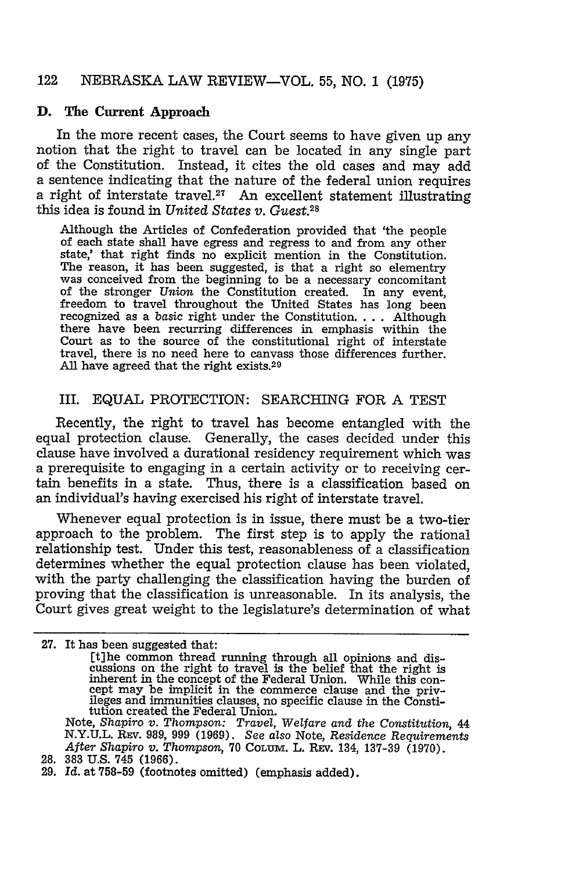#### **D.** The Current Approach

In the more recent cases, the Court seems to have given up any notion that the right to travel can be located in any single part of the Constitution. Instead, it cites the old cases and may add a sentence indicating that the nature of the federal union requires a right of interstate travel.<sup>27</sup> An excellent statement illustrating this idea is found in *United States v. Guest.28*

Although the Articles of Confederation provided that 'the people of each state shall have egress and regress to and from any other state,' that right finds no explicit mention in the Constitution. The reason, it has been suggested, is that a right so elementry was conceived from the beginning to be a necessary concomitant of the stronger Union the Constitution created. In any event, freedom to travel throughout the United States has long been recognized as a basic right under the Constitution. . . . Although recognized as a basic right under the Constitution.... Although there have been recurring differences in emphasis within the Court as to the source of the constitutional right of interstate travel, there is no need here to canvass those differences further. All have agreed that the right exists.<sup>29</sup>

# III. EQUAL PROTECTION: SEARCHING FOR A TEST

Recently, the right to travel has become entangled with the equal protection clause. Generally, the cases decided under this clause have involved a durational residency requirement which was a prerequisite to engaging in a certain activity or to receiving certain benefits in a state. Thus, there is a classification based on an individual's having exercised his right of interstate travel.

Whenever equal protection is in issue, there must be a two-tier approach to the problem. The first step is to apply the rational relationship test. Under this test, reasonableness of a classification determines whether the equal protection clause has been violated, with the party challenging the classification having the burden of proving that the classification is unreasonable. In its analysis, the Court gives great weight to the legislature's determination of what

N.Y.U.L. REv. 989, 999 (1969). *See also* Note, *Residence Requirements After Shapiro v.* Thompson, 70 CoLum. L. REv. 134, 137-39 (1970). After Shapiro v. Thompson, 70 COLUM. L. REV. 134, 137-39 (1970).<br>28. 383 U.S. 745 (1966).

**<sup>27.</sup>** It has been suggested that: [t]he common thread running through all opinions and dis-Euronomia and uniform in the right to travel is the belief that the right is<br>inherent in the concept of the Federal Union. While this con-<br>cept may be implicit in the commerce clause and the priv-<br>ileges and immunities cla Note, Shapiro *v. Thompson: Travel, Welfare* and *the* Constitution, 44

<sup>29.</sup> *Id.* at **758-59** (footnotes omitted) (emphasis added).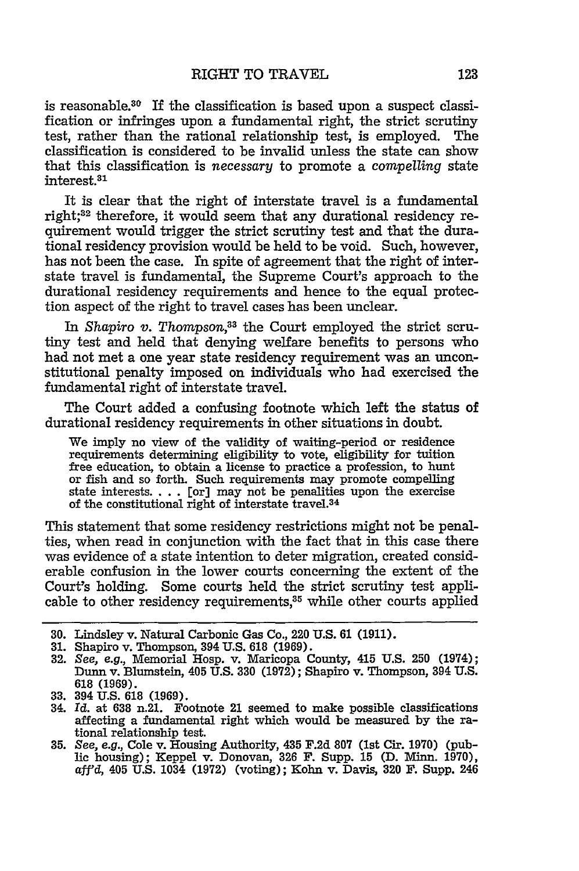is reasonable.<sup>30</sup> If the classification is based upon a suspect classification or infringes upon a fundamental right, the strict scrutiny test, rather than the rational relationship test, is employed. The classification is considered to be invalid unless the state can show that this classification is necessary to promote a compelling state interest.<sup>31</sup>

It is clear that the right of interstate travel is a fundamental right;<sup>32</sup> therefore, it would seem that any durational residency requirement would trigger the strict scrutiny test and that the durational residency provision would be held to be void. Such, however, has not been the case. In spite of agreement that the right of interstate travel is fundamental, the Supreme Court's approach to the durational residency requirements and hence to the equal protection aspect of the right to travel cases has been unclear.

In *Shapiro v. Thompson,33* the Court employed the strict scrutiny test and held that denying welfare benefits to persons who had not met a one year state residency requirement was an unconstitutional penalty imposed on individuals who had exercised the fundamental right of interstate travel.

The Court added a confusing footnote which left the status of durational residency requirements in other situations in doubt.

We imply no view of the validity of waiting-period or residence requirements determining eligibility to vote, eligibility for tuition free education, to obtain a license to practice a profession, to hunt or fish and so forth. Such requirements may promote compelling state interests **....** [or] may not be penalities upon the exercise of the constitutional right of interstate travel.<sup>34</sup>

This statement that some residency restrictions might not be penalties, when read in conjunction with the fact that in this case there was evidence of a state intention to deter migration, created considerable confusion in the lower courts concerning the extent of the Court's holding. Some courts held the strict scrutiny test applicable to other residency requirements,<sup>35</sup> while other courts applied

**<sup>30.</sup>** Lindsley v. Natural Carbonic Gas Co., 220 **U.S.** 61 (1911).

**<sup>31.</sup>** Shapiro v. Thompson, 394 **U.S. 618** (1969).

**<sup>32.</sup>** *See, e.g.,* Memorial Hosp. v. Maricopa County, 415 **U.S. 250** (1974); Dunn v. Blumstein, 405 U.S. 330 (1972); Shapiro v. Thompson, 394 **U.S.** 618 (1969).

**<sup>33.</sup>** 394 U.S. **618** (1969). 34. *Id.* at **638** n.21. Footnote 21 seemed to make possible classifications affecting a fundamental right which would be measured by the rational relationship test.<br>35. See, e.g., Cole v. Housing Authority, 435 F.2d 807 (1st Cir. 1970) (pub-

lic housing); Keppel v. Donovan, 326 F. Supp. 15 (D. Minn. 1970), aff'd, 405 **U.S.** 1034 (1972) (voting); Kohn v. Davis, 320 F. Supp. 246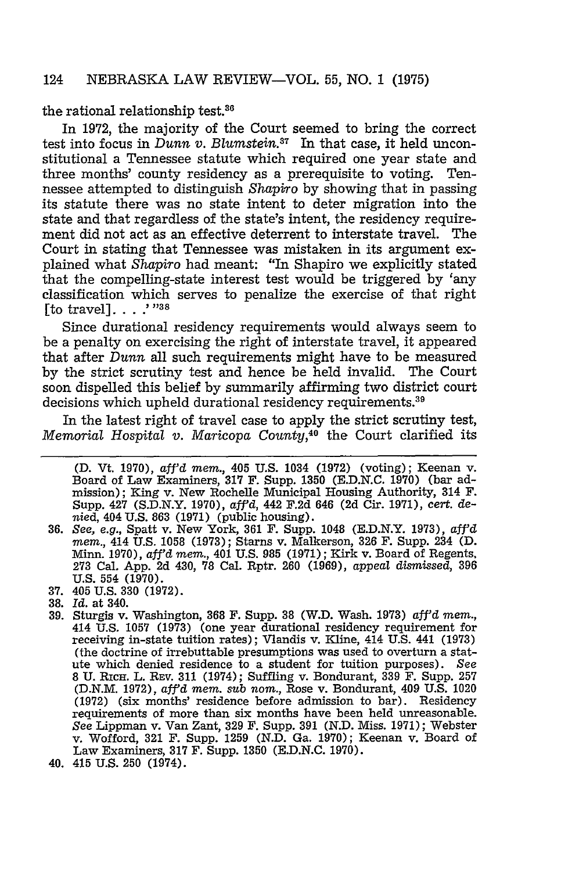#### the rational relationship test. $36$

In 1972, the majority of the Court seemed to bring the correct test into focus in *Dunn v. Blumstein.87* In that case, it held unconstitutional a Tennessee statute which required one year state and three months' county residency as a prerequisite to voting. Tennessee attempted to distinguish *Shapiro* by showing that in passing its statute there was no state intent to deter migration into the state and that regardless of the state's intent, the residency requirement did not act as an effective deterrent to interstate travel. The Court in stating that Tennessee was mistaken in its argument explained what *Shapiro* had meant: "In Shapiro we explicitly stated that the compelling-state interest test would be triggered by 'any classification which serves to penalize the exercise of that right [to travel]. . . . <sup>"38</sup>

Since durational residency requirements would always seem to be a penalty on exercising the right of interstate travel, it appeared that after *Dunn* all such requirements might have to be measured by the strict scrutiny test and hence be held invalid. The Court soon dispelled this belief by summarily affirming two district court decisions which upheld durational residency requirements.<sup>39</sup>

In the latest right of travel case to apply the strict scrutiny test, *Memorial Hospital v. Maricopa County,40* the Court clarified its

- **37.** 405 U.S. 330 (1972).
- 38. *Id.* at 340.
- 39. Sturgis v. Washington, 368 F. Supp. **38** (W.D. Wash. **1973)** *afi'd mem.,* 414 U.S. 1057 (1973) (one year durational residency requirement for receiving in-state tuition rates); Vlandis v. Kline, 414 U.S. 441 (1973) (the doctrine of irrebuttable presumptions was used to overturn a statute which denied residence to a student for tuition purposes). *See* 8 **U. RICH.** L. REV. **311** (1974); Suffling v. Bondurant, **339** F. Supp. 257 (D.N.M. 1972), *aff'd mem. sub nom.,* Rose v. Bondurant, 409 U.S. 1020 (1972) (six months' residence before admission to bar). Residency requirements of more than six months have been held unreasonable. *See* Lippman v. Van Zant, **329** F. Supp. **391** (N.D. Miss. 1971); Webster v. Wofford, 321 F. Supp. 1259 (N.D. Ga. 1970); Keenan v. Board of Law Examiners, **317** F. Supp. 1350 (E.D.N.C. 1970).
- 40. 415 U.S. 250 (1974).

**<sup>(</sup>D.** Vt. 1970), *afi'd mem.,* 405 U.S. 1034 (1972) (voting); Keenan v. Board of Law Examiners, **317** F. Supp. **1350 (E.D.N.C. 1970)** (bar admission); King v. New Rochelle Municipal Housing Authority, 314 F. Supp. 427 (S.D.N.Y. 1970), *affd,* 442 F.2d 646 (2d Cir. 1971), *cert.* denied, 404 U.S. 863 (1971) (public housing).

**<sup>36.</sup>** *See, e.g.,* Spatt v. New York, **361** F. Supp. 1048 (E.D.N.Y. 1973), *aff'd mem.,* 414 U.S. 1058 (1973); Starns v. Malkerson, 326 F. Supp. 234 **(D.** Minn. 1970), *aff'd mem.,* 401 U.S. 985 (1971); Kirk v. Board of Regents, **273** Cal. App. 2d 430, **78** Cal. Rptr. 260 (1969), *appeal dismissed,* **396** U.S. 554 (1970).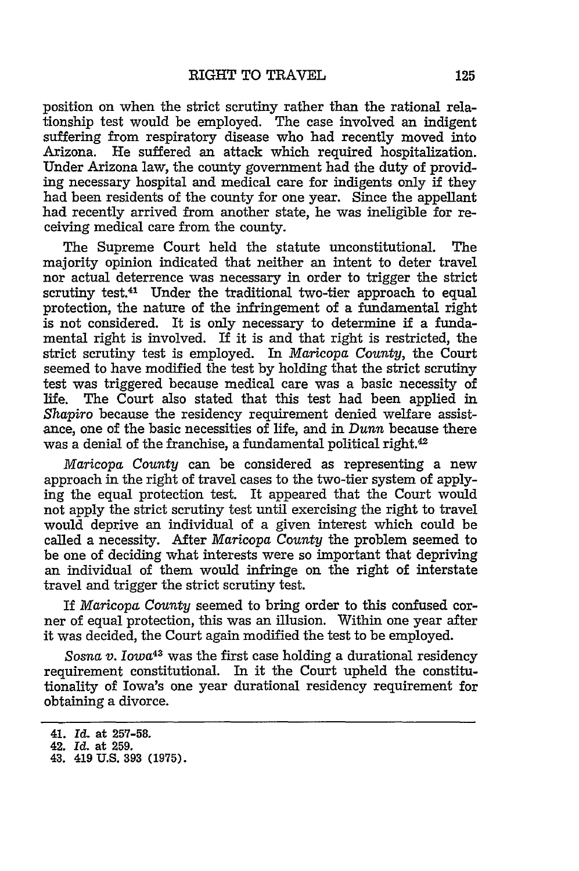position on when the strict scrutiny rather than the rational relationship test would be employed. The case involved an indigent suffering from respiratory disease who had recently moved into Arizona. He suffered an attack which required hospitalization. Under Arizona law, the county government had the duty of providing necessary hospital and medical care for indigents only if they had been residents of the county for one year. Since the appellant had recently arrived from another state, he was ineligible for receiving medical care from the county.

The Supreme Court held the statute unconstitutional. The majority opinion indicated that neither an intent to deter travel nor actual deterrence was necessary in order to trigger the strict scrutiny test.41 Under the traditional two-tier approach to equal protection, the nature of the infringement of a fundamental right is not considered. It is only necessary to determine if a fundamental right is involved. If it is and that right is restricted, the strict scrutiny test is employed. In *Maricopa County,* the Court seemed to have modified the test by holding that the strict scrutiny test was triggered because medical care was a basic necessity of life. The Court also stated that this test had been applied in Shapiro because the residency requirement denied welfare assistance, one of the basic necessities of life, and in *Dunn* because there was a denial of the franchise, a fundamental political right.<sup>42</sup>

*Maricopa County* can be considered as representing a new approach in the right of travel cases to the two-tier system of applying the equal protection test. It appeared that the Court would not apply the strict scrutiny test until exercising the right to travel would deprive an individual of a given interest which could be called a necessity. After *Maricopa County* the problem seemed to be one of deciding what interests were so important that depriving an individual of them would infringe on the right of interstate travel and trigger the strict scrutiny test.

If *Maricopa* County seemed to bring order to this confused corner of equal protection, this was an illusion. Within one year after it was decided, the Court again modified the test to be employed.

*Sosna* v. *Iowa<sup>43</sup>*was the first case holding a durational residency requirement constitutional. In it the Court upheld the constitutionality of Iowa's one year durational residency requirement for obtaining a divorce.

<sup>41.</sup> *Id.* at **257-58.**

<sup>42.</sup> *Id.* at 259.

<sup>43. 419</sup> **U.S. 393 (1975).**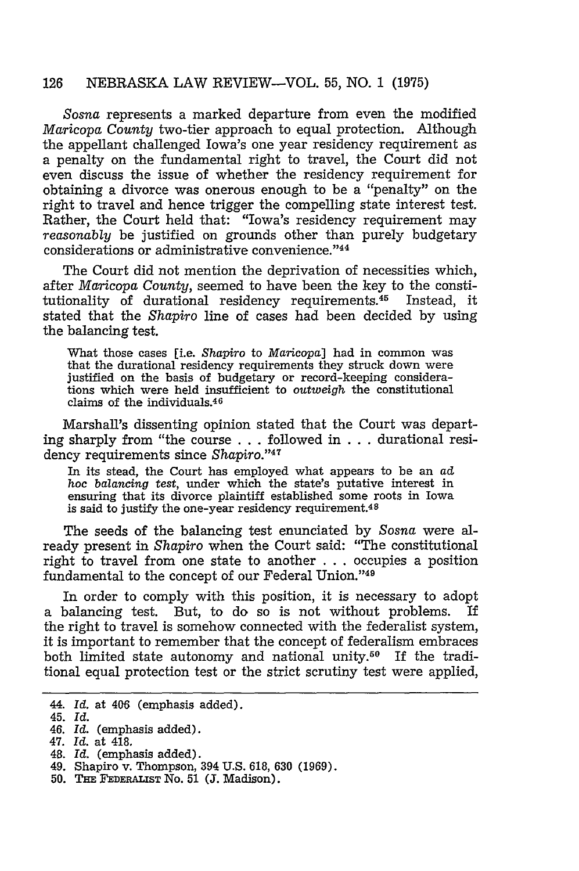*Sosna* represents a marked departure from even the modified *Maricopa County* two-tier approach to equal protection. Although the appellant challenged Iowa's one year residency requirement as a penalty on the fundamental right to travel, the Court did not even discuss the issue of whether the residency requirement for obtaining a divorce was onerous enough to be a "penalty" on the right to travel and hence trigger the compelling state interest test. Rather, the Court held that: "Iowa's residency requirement may *reasonably* be justified on grounds other than purely budgetary considerations or administrative convenience."44

The Court did not mention the deprivation of necessities which, after *Maricopa County,* seemed to have been the key to the constitutionality of durational residency requirements.45 Instead, it stated that the *Shapiro* line of cases had been decided by using the balancing test.

What those cases [i.e. *Shapiro* to *Maricopa]* had in common was that the durational residency requirements they struck down were justified on the basis of budgetary or record-keeping considerations which were held insufficient to *outweigh* the constitutional claims of the individuals. <sup>46</sup>

Marshall's dissenting opinion stated that the Court was departing sharply from "the course . ..followed in . ..durational residency requirements since *Shapiro.'47*

In its stead, the Court has employed what appears to be an ad hoc *balancing test,* under which the state's putative interest in ensuring that its divorce plaintiff established some roots in Iowa is said to justify the one-year residency requirement.<sup>48</sup>

The seeds of the balancing test enunciated by Sosna were already present in *Shapiro* when the Court said: "The constitutional right to travel from one state to another .. . occupies a position fundamental to the concept of our Federal Union."49

In order to comply with this position, it is necessary to adopt a balancing test. But, to do so is not without problems. If the right to travel is somehow connected with the federalist system, it is important to remember that the concept of federalism embraces both limited state autonomy and national unity.<sup>50</sup> If the traditional equal protection test or the strict scrutiny test were applied,

- 48. *Id.* (emphasis added).
- 49. Shapiro v. Thompson, 394 U.S. 618, 630 (1969).
- **50. THE FEDERALIST** No. **51 (J.** Madison).

<sup>44.</sup> *Id.* at 406 (emphasis added).

<sup>45.</sup> *Id.*

<sup>46.</sup> *Id.* (emphasis added).

<sup>47.</sup> *Id.* at 418.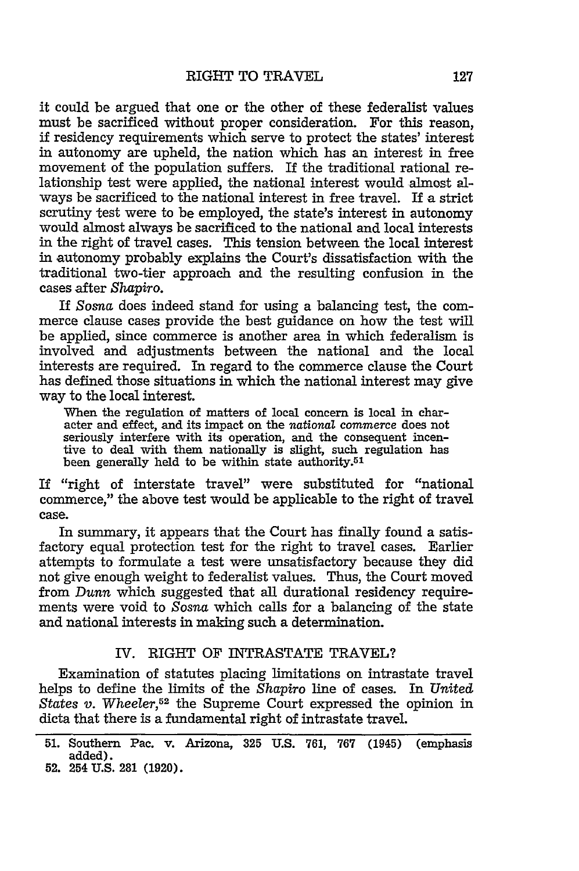it could be argued that one or the other of these federalist values must be sacrificed without proper consideration. For this reason, if residency requirements which serve to protect the states' interest in autonomy are upheld, the nation which has an interest in free movement of the population suffers. If the traditional rational relationship test were applied, the national interest would almost always be sacrificed to the national interest in free travel. If a strict scrutiny test were to be employed, the state's interest in autonomy would almost always be sacrificed to the national and local interests in the right of travel cases. This tension between the local interest in autonomy probably explains the Court's dissatisfaction with the traditional two-tier approach and the resulting confusion in the cases after *Shapiro.*

If Sosna does indeed stand for using a balancing test, the commerce clause cases provide the best guidance on how the test will be applied, since commerce is another area in which federalism is involved and adjustments between the national and the local interests are required. In regard to the commerce clause the Court has defined those situations in which the national interest may give way to the local interest.

When the regulation of matters of local concern is local in character and effect, and its impact on the *national* commerce does not seriously interfere with its operation, and the consequent incentive to deal with them nationally is slight, such regulation has been generally held to be within state authority.<sup>51</sup>

If "right of interstate travel" were substituted for "national commerce," the above test would be applicable to the right of travel case.

In summary, it appears that the Court has finally found a satisfactory equal protection test for the right to travel cases. Earlier attempts to formulate a test were unsatisfactory because they did not give enough weight to federalist values. Thus, the Court moved from *Dunn* which suggested that all durational residency requirements were void to *Sosna* which calls for a balancing of the state and national interests in making such a determination.

#### IV. RIGHT OF INTRASTATE TRAVEL?

Examination of statutes placing limitations on intrastate travel helps to define the limits of the *Shapiro* line of cases. In *United States v.* Wheeler,52 the Supreme Court expressed the opinion in dicta that there is a fundamental right of intrastate travel.

<sup>51.</sup> Southern Pac. v. Arizona, **325** U.S. 761, 767 (1945) (emphasis added). **52.** 254 **U.S. 281 (1920).**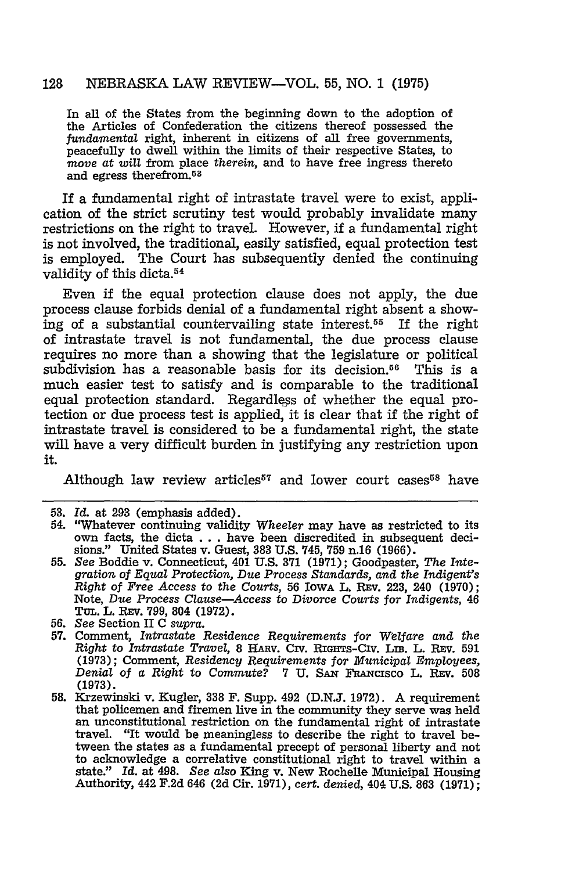In all of the States from the beginning down to the adoption of the Articles of Confederation the citizens thereof possessed the *fundamental* right, inherent in citizens of all free governments, peacefully to dwell within the limits of their respective States, to *move at will* from place *therein,* and to have free ingress thereto and egress therefrom. <sup>53</sup>

If a fundamental right of intrastate travel were to exist, application of the strict scrutiny test would probably invalidate many restrictions on the right to travel. However, if a fundamental right is not involved, the traditional, easily satisfied, equal protection test is employed. The Court has subsequently denied the continuing validity of this dicta.<sup>54</sup>

Even if the equal protection clause does not apply, the due process clause forbids denial of a fundamental right absent a showing of a substantial countervailing state interest.<sup>55</sup> If the right of intrastate travel is not fundamental, the due process clause requires no more than a showing that the legislature or political subdivision has a reasonable basis for its decision.<sup>56</sup> This is a much easier test to satisfy and is comparable to the traditional equal protection standard. Regardless of whether the equal protection or due process test is applied, it is clear that if the right of intrastate travel is considered to be a fundamental right, the state will have a very difficult burden in justifying any restriction upon it.

Although law review articles<sup>57</sup> and lower court cases<sup>58</sup> have

- 55. *See* Boddie v. Connecticut, 401 U.S. **371** (1971); Goodpaster, *The Integration of Equal Protection, Due Process Standards, and the Indigent's Right of Free Access to the Courts,* **56** IowA L. **REv.** 223, 240 (1970); Note, *Due Process Clause-Access to Divorce Courts* for *Indigents,* 46 TUL. L. REV. 799, 804 (1972).
- **56.** *See* Section II C *supra.*
- **57.** Comment, *Intrastate Residence Requirements* for *Welfare and the Right* to *Intrastate Travel,* 8 HARv. **Civ.** RIGHTs-CIv. LiB. L. REv. **591** (1973); Comment, *Residency Requirements for Municipal Employees*, *Denial of a Right to Commute? 7 U. SAN FRANCISCO L. REV.* 508 (1973).
- **58.** Krzewinski v. Kugler, **338** F. Supp. 492 (D.N.J. 1972). A requirement that policemen and firemen live in the community they serve was held an unconstitutional restriction on the fundamental right of intrastate travel. "It would be meaningless to describe the right to travel between the states as a fundamental precept of personal liberty and not to acknowledge a correlative constitutional right to travel within a state." Id. at 498. *See also* King v. New Rochelle Municipal Housing Authority, 442 F.2d 646 (2d Cir. 1971), *cert. denied,* 404 U.S. 863 (1971);

**<sup>53.</sup>** Id. at 293 (emphasis added).

<sup>54. &#</sup>x27;Whatever continuing validity *Wheeler* may have as restricted to its own facts, the dicta . . . have been discredited in subsequent decisions." United States v. Guest, 383 U.S. 745, **759** n.16 (1966).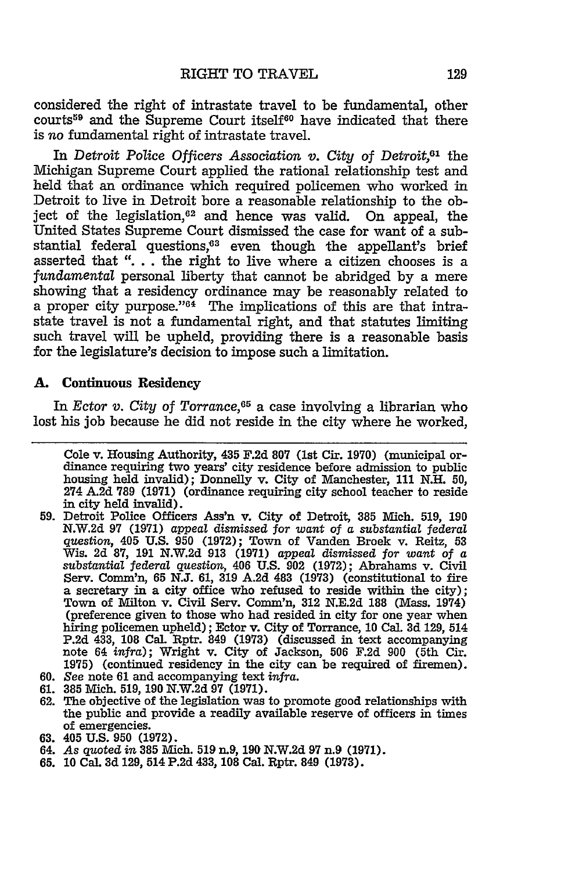considered the right of intrastate travel to be fundamental, other courts<sup>59</sup> and the Supreme Court itself<sup>60</sup> have indicated that there is *no* fundamental right of intrastate travel.

**In** *Detroit Police Officers Association v. City of Detroit,61* the Michigan Supreme Court applied the rational relationship test and held that an ordinance which required policemen who worked in Detroit to live in Detroit bore a reasonable relationship to the object of the legislation, $62$  and hence was valid. On appeal, the United States Supreme Court dismissed the case for want of a substantial federal questions, $63$  even though the appellant's brief asserted that "... the right to live where a citizen chooses is a *fundamental* personal liberty that cannot be abridged by a mere showing that a residency ordinance may be reasonably related to a proper city purpose."64 The implications of this are that intrastate travel is not a fundamental right, and that statutes limiting such travel will be upheld, providing there is a reasonable basis for the legislature's decision to impose such a limitation.

#### **A.** Continuous Residency

*In Ector v. City of Torrance, <sup>5</sup>*a case involving a librarian who lost his **job** because he did not reside in the city where he worked,

- **59.** Detroit Police Officers **Ass'n** v. City of Detroit, **385** Mich. **519, 190** N.W.2d **97 (1971)** appeal dismissed *for want of a substantial federal question,* 405 U.S. 950 **(1972);** Town of Vanden Broek v. Reitz, **53** Wis. 2d **87,** 191 N.W.2d 913 (1971) appeal dismissed *for want of a substantial federal question,* 406 U.S. 902 (1972); Abrahams v. Civil Serv. Comm'n, **65 N.J. 61, 319 A.2d** 483 **(1973)** (constitutional to fire a secretary in a city office who refused to reside within the city); Town of Milton v. Civil Serv. Comm'n, **312** N.E.2d 188 (Mass. 1974) (preference given to those who had resided in city for one year when hiring policemen upheld); Ector v. City of Torrance, 10 Cal. **3d** 129, 514 P.2d 433, 108 Cal. Rptr. 849 (1973) (discussed in text accompanying note 64 *infra);* Wright v. City of Jackson, 506 F.2d 900 (5th Cir. 1975) (continued residency in the city can be required of firemen).
- 60. See note 61 and accompanying text *infra.*
- 61. **385** Mich. 519, 190 N.W.2d **97** (1971).
- 62. The objective of the legislation was to promote good relationships with the public and provide a readily available reserve of officers in times of emergencies.
- **63. 405 U.S. 950 (1972).**
- 64. *As* quoted in **385** Mich. 519 n.9, **190** N.W.2d 97 n.9 (1971).
- **65. 10 Cal. 3d 129,** 514 **P.2d** 433, **108** Cal. Rptr. 849 **(1973).**

Cole v. Housing Authority, 435 **F.2d 807** (1st Cir. **1970)** (municipal ordinance requiring two years' city residence before admission to public housing held invalid); Donnelly v. City of Manchester, **111 N.H. 50,** 274 A.2d **789 (1971)** (ordinance requiring city school teacher to reside in city held invalid).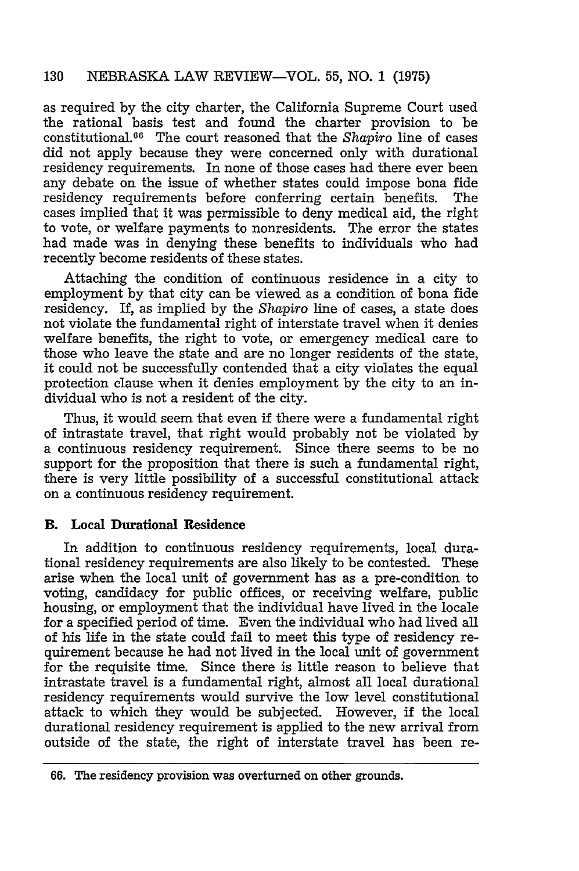as required by the city charter, the California Supreme Court used the rational basis test and found the charter provision to be constitutional.<sup>66</sup> The court reasoned that the *Shapiro* line of cases did not apply because they were concerned only with durational residency requirements. In none of those cases had there ever been any debate on the issue of whether states could impose bona fide residency requirements before conferring certain benefits. The cases implied that it was permissible to deny medical aid, the right to vote, or welfare payments to nonresidents. The error the states had made was in denying these benefits to individuals who had recently become residents of these states.

Attaching the condition of continuous residence in a city to employment by that city can be viewed as a condition of bona fide residency. If, as implied by the *Shapiro* line of cases, a state does not violate the fundamental right of interstate travel when it denies welfare benefits, the right to vote, or emergency medical care to those who leave the state and are no longer residents of the state, it could not be successfully contended that a city violates the equal protection clause when it denies employment by the city to an individual who is not a resident of the city.

Thus, it would seem that even if there were a fundamental right of intrastate travel, that right would probably not be violated by a continuous residency requirement. Since there seems to be no support for the proposition that there is such a fundamental right, there is very little possibility of a successful constitutional attack on a continuous residency requirement.

# B. **Local Durational Residence**

In addition to continuous residency requirements, local durational residency requirements are also likely to be contested. These arise when the local unit of government has as a pre-condition to voting, candidacy for public offices, or receiving welfare, public housing, or employment that the individual have lived in the locale for a specified period of time. Even the individual who had lived all of his life in the state could fail to meet this type of residency requirement because he had not lived in the local unit of government for the requisite time. Since there is little reason to believe that intrastate travel is a fundamental right, almost all local durational residency requirements would survive the low level constitutional attack to which they would be subjected. However, if the local durational residency requirement is applied to the new arrival from outside of the state, the right of interstate travel has been re-

**<sup>66.</sup>** The residency provision was overturned on other grounds.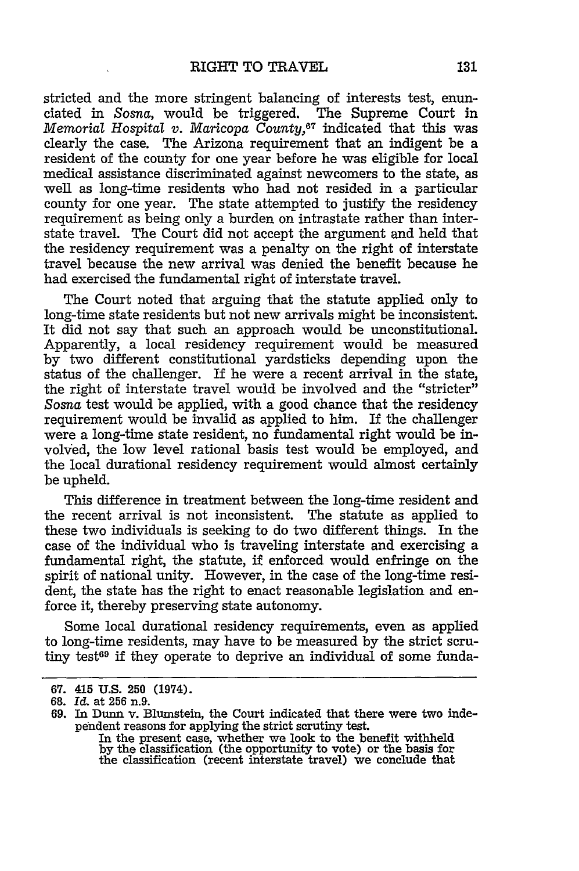stricted and the more stringent balancing of interests test, enunciated in Sosna, would be triggered. The Supreme Court in *Memorial Hospital v. Maricopa County,67* indicated that this was clearly the case. The Arizona requirement that an indigent be a resident of the county for one year before he was eligible for local medical assistance discriminated against newcomers to the state, as well as long-time residents who had not resided in a particular county for one year. The state attempted to justify the residency requirement as being only a burden on intrastate rather than interstate travel. The Court did not accept the argument and held that the residency requirement was a penalty on the right of interstate travel because the new arrival was denied the benefit because he had exercised the fundamental right of interstate travel.

The Court noted that arguing that the statute applied only to long-time state residents but not new arrivals might be inconsistent. It did not say that such an approach would be unconstitutional. Apparently, a local residency requirement would be measured by two different constitutional yardsticks depending upon the status of the challenger. If he were a recent arrival in the state, the right of interstate travel would be involved and the "stricter" Sosna test would be applied, with a good chance that the residency requirement would be invalid as applied to him. If the challenger were a long-time state resident, no fundamental right would be involved, the low level rational basis test would be employed, and the local durational residency requirement would almost certainly be upheld.

This difference in treatment between the long-time resident and the recent arrival is not inconsistent. The statute as applied to these two individuals is seeking to do two different things. In the case of the individual who is traveling interstate and exercising a fundamental right, the statute, if enforced would enfringe on the spirit of national unity. However, in the case of the long-time resident, the state has the right to enact reasonable legislation and enforce it, thereby preserving state autonomy.

Some local durational residency requirements, even as applied to long-time residents, may have to be measured by the strict scrutiny test<sup>69</sup> if they operate to deprive an individual of some funda-

**<sup>67.</sup>** 415 **U.S. 250 (1974).**

**<sup>68.</sup>** *Id.* at **256 n.9.**

<sup>69.</sup> In Dunn v. Blumstein, the Court indicated that there were two independent reasons for applying the strict scrutiny test.

In the present case, whether we look to the benefit withheld by the classification (the opportunity to vote) or the basis for the classification (recent interstate travel) we conclude that